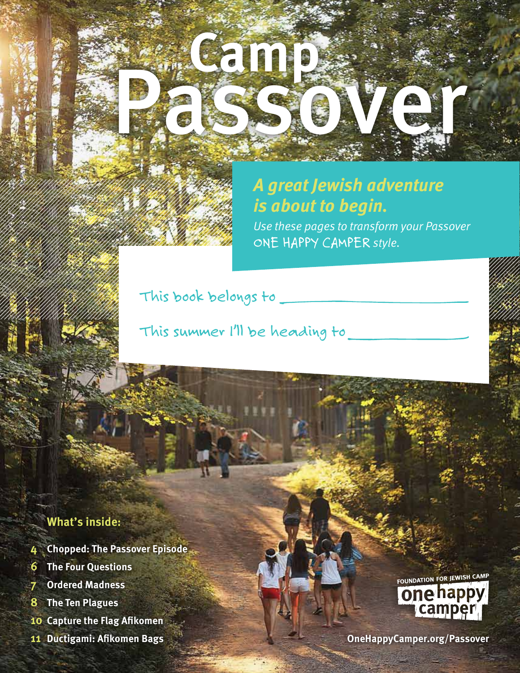# *A great Jewish adventure is about to begin.*

Passover

**Camp**

*Use these pages to transform your Passover ONE HAPPY CAMPER style.*

*This book belongs to*

*This summer I'll be heading to*

#### **What's inside:**

- **4 Chopped: The Passover Episode**
- **6 The Four Questions**
- **7 Ordered Madness**
- **8 The Ten Plagues**
- **10 Capture the Flag Afikomen**
- 



**11 Ductigami: Afikomen Bags OneHappyCamper.org/Passover**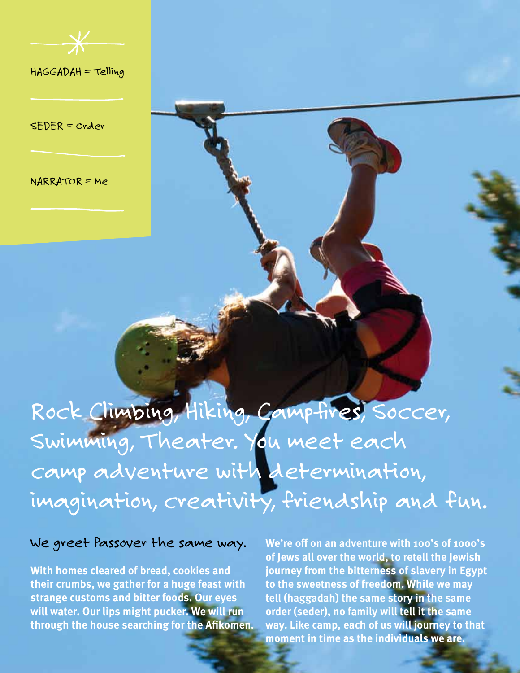

*HAGGADAH = Telling*

*SEDER = Order*

*NARRATOR = Me* 

# Rock Climbing, Hiking, Campfires, Soccer, *Swimming, Theater. You meet each camp adventure with determination, imagination, creativity, friendship and fun.*

#### *We greet Passover the same way.*

**With homes cleared of bread, cookies and their crumbs, we gather for a huge feast with strange customs and bitter foods. Our eyes will water. Our lips might pucker. We will run through the house searching for the Afikomen.** 

**We're off on an adventure with 100's of 1000's of Jews all over the world, to retell the Jewish journey from the bitterness of slavery in Egypt to the sweetness of freedom. While we may tell (haggadah) the same story in the same order (seder), no family will tell it the same way. Like camp, each of us will journey to that moment in time as the individuals we are.**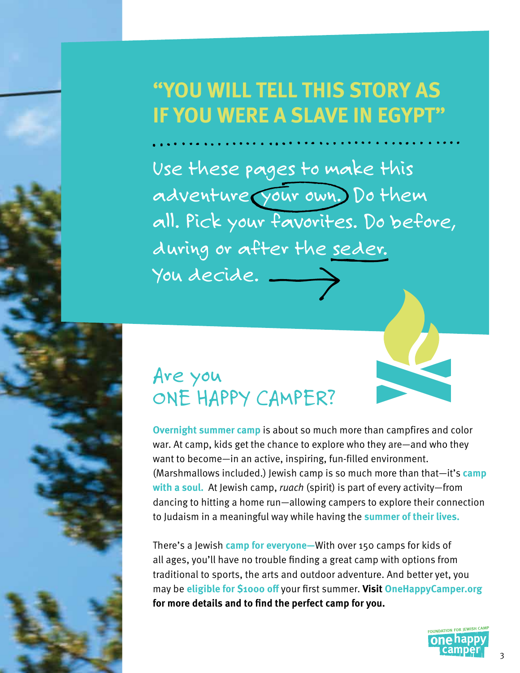# **"YOU WILL TELL THIS STORY AS IF YOU WERE A SLAVE IN EGYPT"**

*Use these pages to make this adventure your own. Do them all. Pick your favorites. Do before, during or after the seder. You decide.*

# *Are you ONE HAPPY CAMPER?*

**Overnight summer camp** is about so much more than campfires and color war. At camp, kids get the chance to explore who they are—and who they want to become—in an active, inspiring, fun-filled environment. (Marshmallows included.) Jewish camp is so much more than that—it's **camp with a soul.** At Jewish camp, *ruach* (spirit) is part of every activity—from dancing to hitting a home run—allowing campers to explore their connection to Judaism in a meaningful way while having the **summer of their lives.** 

There's a Jewish **camp for everyone—**With over 150 camps for kids of all ages, you'll have no trouble finding a great camp with options from traditional to sports, the arts and outdoor adventure. And better yet, you may be **eligible for \$1000 off** your first summer. **Visit OneHappyCamper.org for more details and to find the perfect camp for you.**

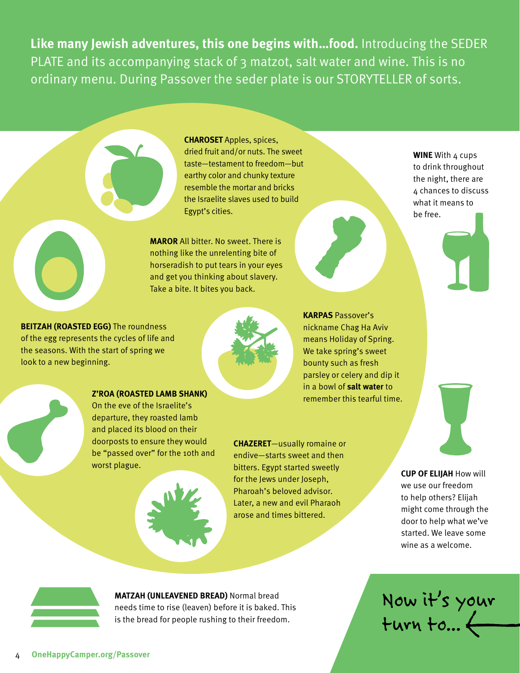**Like many Jewish adventures, this one begins with…food.** Introducing the SEDER PLATE and its accompanying stack of 3 matzot, salt water and wine. This is no ordinary menu. During Passover the seder plate is our STORYTELLER of sorts.

> **CHAROSET** Apples, spices, dried fruit and/or nuts. The sweet taste—testament to freedom—but earthy color and chunky texture resemble the mortar and bricks the Israelite slaves used to build Egypt's cities.

**MAROR** All bitter. No sweet. There is nothing like the unrelenting bite of horseradish to put tears in your eyes and get you thinking about slavery. Take a bite. It bites you back.

**BEITZAH (ROASTED EGG)** The roundness of the egg represents the cycles of life and the seasons. With the start of spring we look to a new beginning.



**Z'ROA (ROASTED LAMB SHANK)** On the eve of the Israelite's departure, they roasted lamb and placed its blood on their doorposts to ensure they would be "passed over" for the 10th and worst plague.



**CHAZERET**—usually romaine or endive—starts sweet and then bitters. Egypt started sweetly for the Jews under Joseph, Pharoah's beloved advisor. Later, a new and evil Pharaoh arose and times bittered.

**WINE** With 4 cups to drink throughout the night, there are 4 chances to discuss what it means to be free.

**KARPAS** Passover's nickname Chag Ha Aviv means Holiday of Spring. We take spring's sweet bounty such as fresh parsley or celery and dip it in a bowl of **salt water** to remember this tearful time.

**CUP OF ELIJAH** How will

we use our freedom to help others? Elijah might come through the door to help what we've started. We leave some wine as a welcome.

*Now it's your turn to...*



**MATZAH (UNLEAVENED BREAD)** Normal bread needs time to rise (leaven) before it is baked. This is the bread for people rushing to their freedom.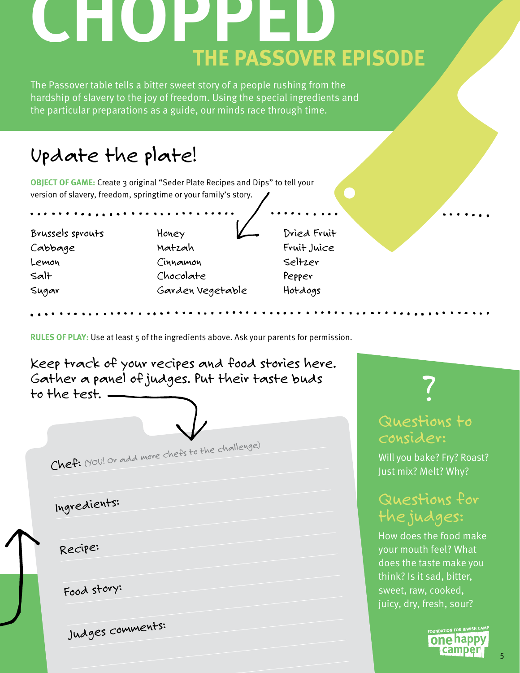# **CHOPPED THE PASSOVER EPISODE**

The Passover table tells a bitter sweet story of a people rushing from the hardship of slavery to the joy of freedom. Using the special ingredients and the particular preparations as a guide, our minds race through time.

# *Update the plate!*

**OBJECT OF GAME:** Create 3 original "Seder Plate Recipes and Dips" to tell your version of slavery, freedom, springtime or your family's story.

*Brussels sprouts Cabbage Lemon Salt Sugar* 

*Honey Matzah Cinnamon Chocolate Garden Vegetable*  *Dried Fruit Fruit Juice Seltzer Pepper Hotdogs*

**RULES OF PLAY:** Use at least 5 of the ingredients above. Ask your parents for permission.



### *Questions to consider:*

Will you bake? Fry? Roast? Just mix? Melt? Why?

## *Questions for the judges:*

How does the food make your mouth feel? What does the taste make you think? Is it sad, bitter, sweet, raw, cooked, juicy, dry, fresh, sour?

one happy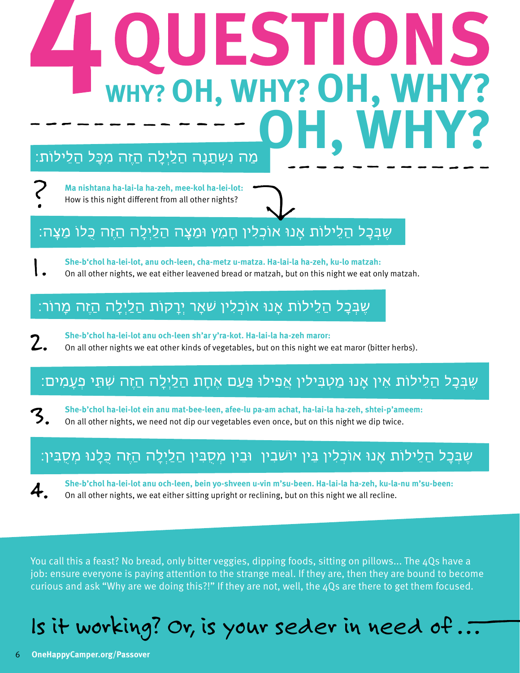# **WHY? OH, WHY?OH, WHY? OH, WHY?**

**Ma nishtana ha-lai-la ha-zeh, mee-kol ha-lei-lot:** How is this night different from all other nights?

7

4.

## שֵׁבִּבָל הַלֵילוֹת אָנוּ אוֹכְלִין חָמֵץ וּמַצָה הַלַיִלָה הַזֵּה כָּלוֹ מַצָּה:

**She-b'chol ha-lei-lot, anu och-leen, cha-metz u-matza. Ha-lai-la ha-zeh, ku-lo matzah:**

On all other nights, we eat either leavened bread or matzah, but on this night we eat only matzah.

## שֵׁבִּכָל הַלֵילוֹת אָנוּ אוֹכָלִין שׁאָר יִרָקוֹת הַלַיִלָה הַזֵּה מָרוֹר:

**She-b'chol ha-lei-lot anu och-leen sh'ar y'ra-kot. Ha-lai-la ha-zeh maror:** On all other nights we eat other kinds of vegetables, but on this night we eat maror (bitter herbs).

### שֵׁבִּכָל הַלֵילוֹת אֵין אַנוּ מַטִבִּילין אַפִילוּ פַּעַם אֵחָת הַלַיִלָה הַזֵּה שִׁתֵּי פִעֲמִים:

**She-b'chol ha-lei-lot ein anu mat-bee-leen, afee-lu pa-am achat, ha-lai-la ha-zeh, shtei-p'ameem:** 3. On all other nights, we need not dip our vegetables even once, but on this night we dip twice.

## שֶׁבְּכָל הַלֵילוֹת אָנוּ אוֹכְלִין בֵּין יוֹשֹׁבִין וּבֵין מְסֻבִּין הַלַיְלָה הַזֶּה כָּלָנוּ מְסֻבִּין:

**She-b'chol ha-lei-lot anu och-leen, bein yo-shveen u-vin m'su-been. Ha-lai-la ha-zeh, ku-la-nu m'su-been:** On all other nights, we eat either sitting upright or reclining, but on this night we all recline.

You call this a feast? No bread, only bitter veggies, dipping foods, sitting on pillows... The 4Qs have a job: ensure everyone is paying attention to the strange meal. If they are, then they are bound to become curious and ask "Why are we doing this?!" If they are not, well, the 4Qs are there to get them focused.

# *Is it working? Or, is your seder in need of . . .*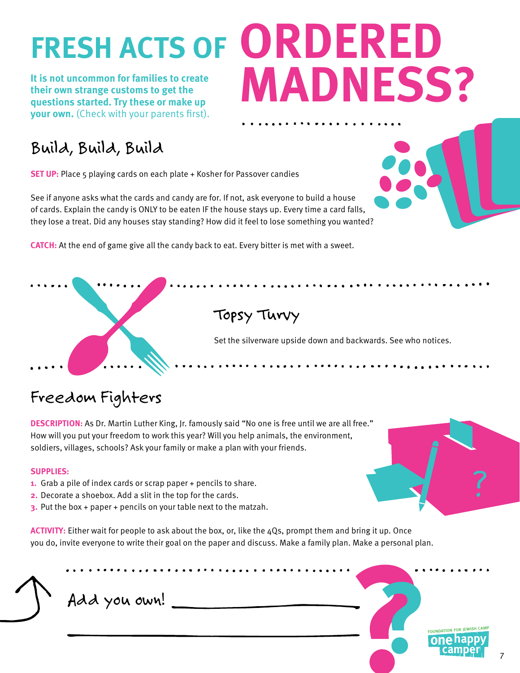**It is not uncommon for families to create their own strange customs to get the questions started. Try these or make up your own.** (Check with your parents first).

# **FRESH ACTS OF ORDERED OH, WHY? MADNESS?**

# *Build, Build, Build*

**SET UP:** Place 5 playing cards on each plate + Kosher for Passover candies

See if anyone asks what the cards and candy are for. If not, ask everyone to build a house of cards. Explain the candy is ONLY to be eaten IF the house stays up. Every time a card falls, they lose a treat. Did any houses stay standing? How did it feel to lose something you wanted?

**CATCH:** At the end of game give all the candy back to eat. Every bitter is met with a sweet.

# *Topsy Turvy* Set the silverware upside down and backwards. See who notices.

# *Freedom Fighters*

**DESCRIPTION:** As Dr. Martin Luther King, Jr. famously said "No one is free until we are all free." How will you put your freedom to work this year? Will you help animals, the environment, soldiers, villages, schools? Ask your family or make a plan with your friends.

#### **SUPPLIES:**

- **1.** Grab a pile of index cards or scrap paper + pencils to share.
- **2.** Decorate a shoebox. Add a slit in the top for the cards.
- **3.** Put the box + paper + pencils on your table next to the matzah.

**ACTIVITY:** Either wait for people to ask about the box, or, like the 4Qs, prompt them and bring it up. Once you do, invite everyone to write their goal on the paper and discuss. Make a family plan. Make a personal plan.





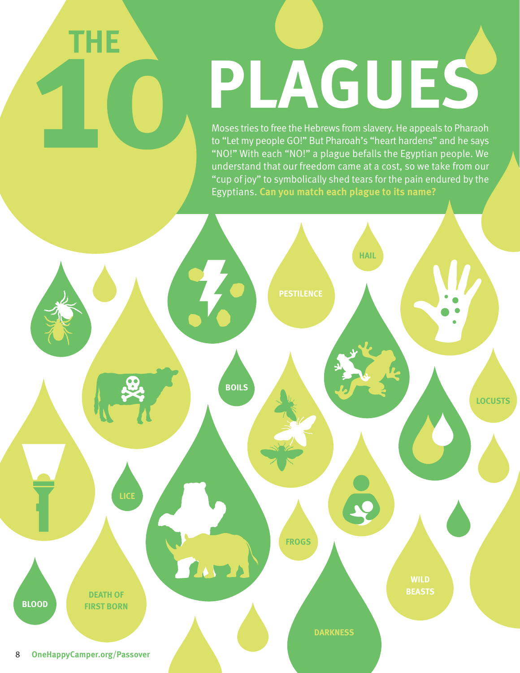# PLAGUES

Moses tries to free the Hebrews from slavery. He appeals to Pharaoh to "Let my people GO!" But Pharoah's "heart hardens" and he says "NO!" With each "NO!" a plague befalls the Egyptian people. We understand that our freedom came at a cost, so we take from our "cup of joy" to symbolically shed tears for the pain endured by the Egyptians. **Can you match each plague to its name?**



**THE**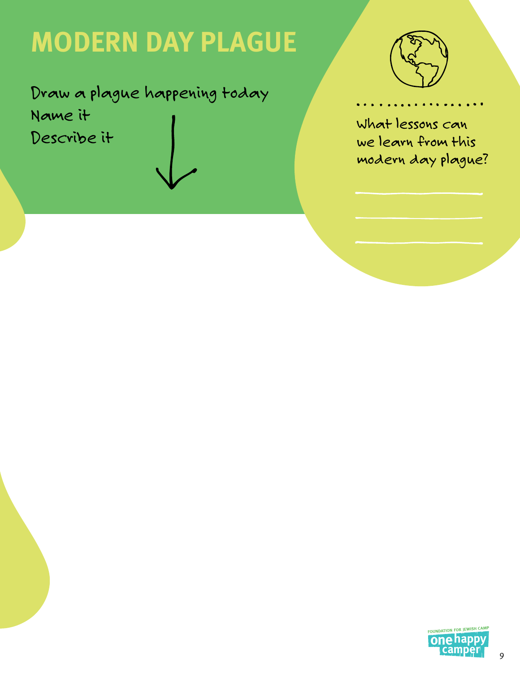# **MODERN DAY PLAGUE**

*Draw a plague happening today Name it Describe it*



*What lessons can we learn from this modern day plague?*

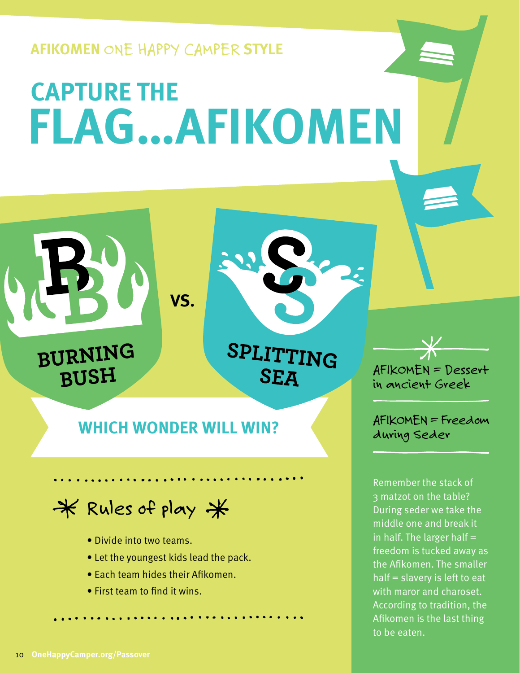**AFIKOMEN** *ONE HAPPY CAMPER* **STYLE**

# **CAPTURE THE FLAG…AFIKOMEN**

SPLITTING

**SEA** 

*AFIKOMEN = Dessert in ancient Greek*

Remember the stack of 3 matzot on the table? During seder we take the middle one and break it in half. The larger half  $=$ freedom is tucked away as the Afikomen. The smaller half = slavery is left to eat with maror and charoset. According to tradition, the Afikomen is the last thing to be eaten.

# *AFIKOMEN = Freedom* **WHICH WONDER WILL WIN?** *during Seder*

**VS.**

# *Rules of play*

- Divide into two teams.
- Let the youngest kids lead the pack.
- Each team hides their Afikomen.
- First team to find it wins.

BURNING

BUSH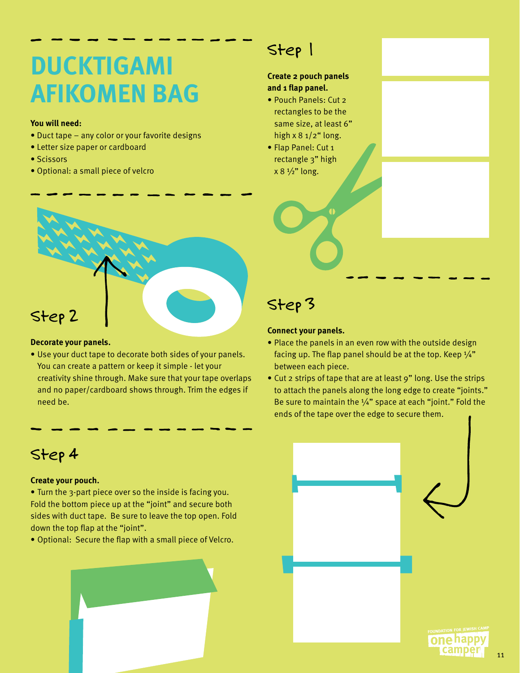# **DUCKTIGAMI AFIKOMEN BAG**

#### **You will need:**

- Duct tape any color or your favorite designs
- Letter size paper or cardboard
- Scissors
- Optional: a small piece of velcro

# *Step 2*

#### **Decorate your panels.**

• Use your duct tape to decorate both sides of your panels. You can create a pattern or keep it simple - let your creativity shine through. Make sure that your tape overlaps and no paper/cardboard shows through. Trim the edges if need be.

## *Step 4*

#### **Create your pouch.**

- Turn the 3-part piece over so the inside is facing you. Fold the bottom piece up at the "joint" and secure both sides with duct tape. Be sure to leave the top open. Fold down the top flap at the "joint".
- Optional: Secure the flap with a small piece of Velcro.



# *Step 1*

#### **Create 2 pouch panels and 1 flap panel.**

- Pouch Panels: Cut 2 rectangles to be the same size, at least 6" high  $x 8 1/2$ " long.
- Flap Panel: Cut 1 rectangle 3" high  $x 8 \frac{1}{2}$ " long.

# *Step 3*

#### **Connect your panels.**

- Place the panels in an even row with the outside design facing up. The flap panel should be at the top. Keep  $\frac{1}{4}$ " between each piece.
- Cut 2 strips of tape that are at least 9" long. Use the strips to attach the panels along the long edge to create "joints." Be sure to maintain the  $\frac{1}{4}$ " space at each "joint." Fold the ends of the tape over the edge to secure them.

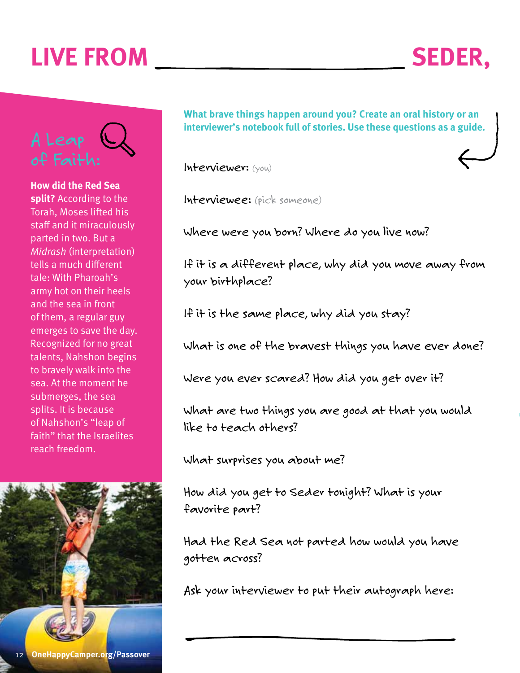# **LIVE FROM SEDER,**



**How did the Red Sea split?** According to the Torah, Moses lifted his staff and it miraculously parted in two. But a *Midrash* (interpretation) tells a much different tale: With Pharoah's army hot on their heels and the sea in front of them, a regular guy emerges to save the day. Recognized for no great talents, Nahshon begins to bravely walk into the sea. At the moment he submerges, the sea splits. It is because of Nahshon's "leap of faith" that the Israelites reach freedom.



**What brave things happen around you? Create an oral history or an interviewer's notebook full of stories. Use these questions as a guide.**

*Interviewer: (you)*

*Interviewee: (pick someone)*

*Where were you born? Where do you live now?*

*If it is a different place, why did you move away from your birthplace?*

*If it is the same place, why did you stay?*

*What is one of the bravest things you have ever done?*

*Were you ever scared? How did you get over it?*

*What are two things you are good at that you would like to teach others?* 

*What surprises you about me?*

*How did you get to Seder tonight? What is your favorite part?*

*Had the Red Sea not parted how would you have gotten across?*

*Ask your interviewer to put their autograph here:*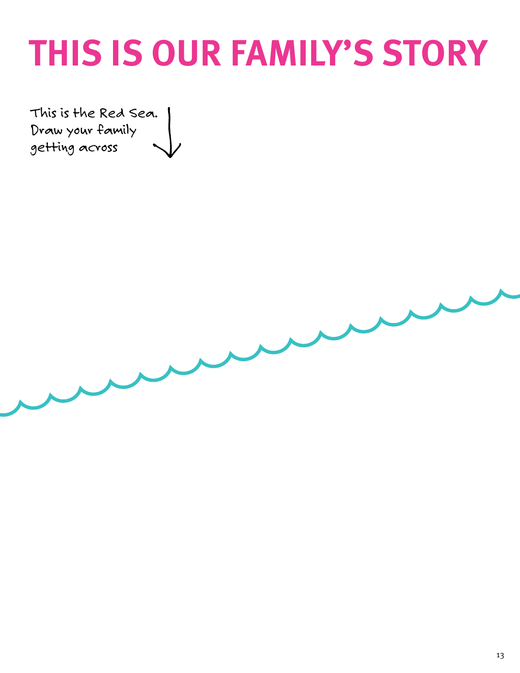# **THIS IS OUR FAMILY'S STORY**

*This is the Red Sea. Draw your family getting across*